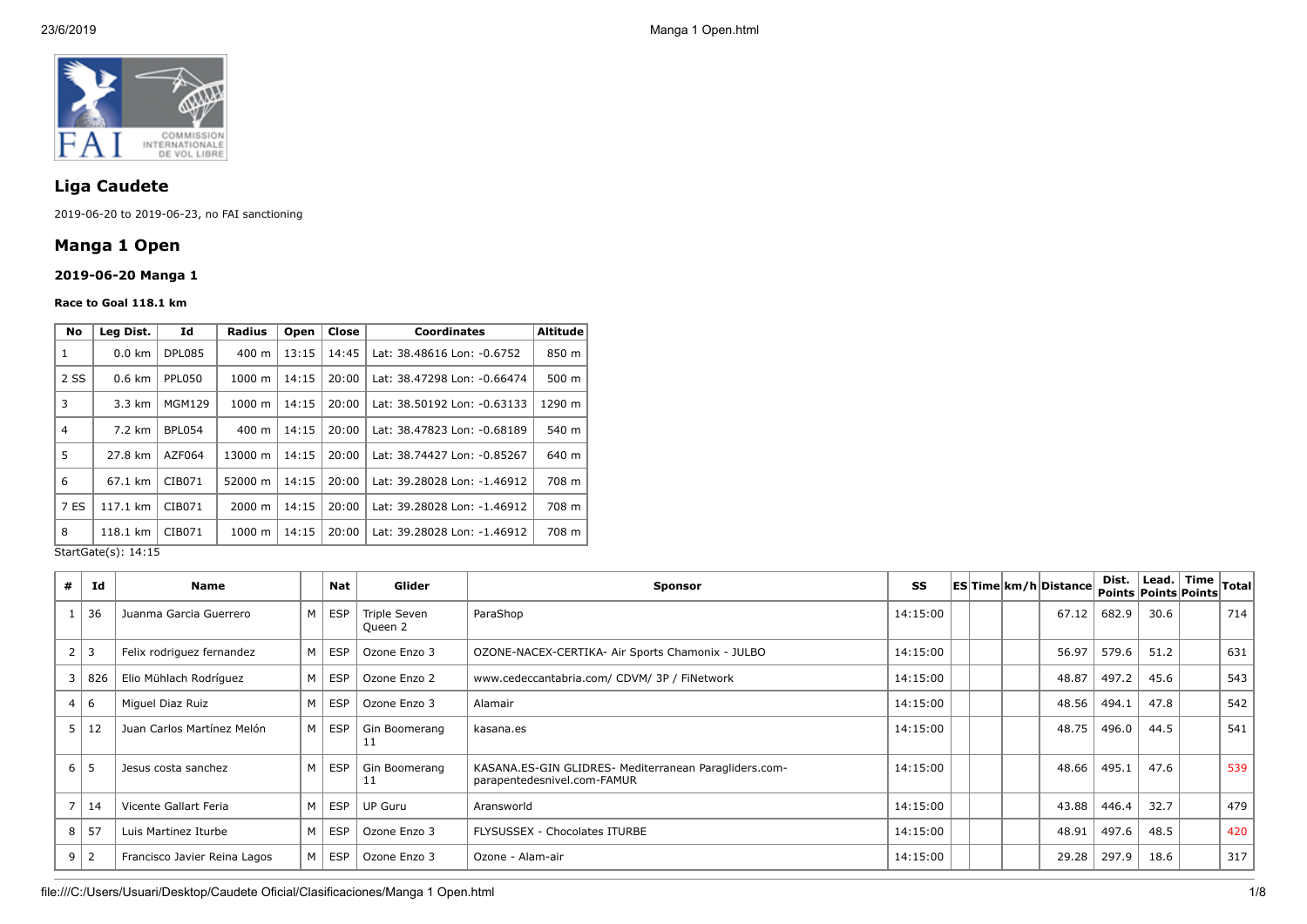

# **Liga Caudete**

2019-06-20 to 2019-06-23, no FAI sanctioning

# **Manga 1 Open**

# **2019-06-20 Manga 1**

#### **Race to Goal 118.1 km**

| No             | Lea Dist.        | Id            | <b>Radius</b>      | Open           | Close | <b>Coordinates</b>          | <b>Altitude</b> |
|----------------|------------------|---------------|--------------------|----------------|-------|-----------------------------|-----------------|
| 1              | $0.0 \text{ km}$ | DPL085        | 400 m              | 13:15          | 14:45 | Lat: 38.48616 Lon: -0.6752  | 850 m           |
| 2 SS           | $0.6 \text{ km}$ | PPL050        | $1000 \;{\rm m}$   | 14:15          | 20:00 | Lat: 38.47298 Lon: -0.66474 | 500 m           |
| 3              | 3.3 km           | <b>MGM129</b> | 1000 m             | 14:15          | 20:00 | Lat: 38.50192 Lon: -0.63133 | 1290 m          |
| $\overline{4}$ | 7.2 km           | <b>BPL054</b> | 400 m              | 20:00<br>14:15 |       | Lat: 38.47823 Lon: -0.68189 | 540 m           |
| 5              | 27.8 km          | AZF064        | 13000 m            | 14:15          | 20:00 | Lat: 38.74427 Lon: -0.85267 | 640 m           |
| 6              | 67.1 km          | CIB071        | 52000 m            | 14:15          | 20:00 | Lat: 39.28028 Lon: -1.46912 | 708 m           |
| 7 ES           | 117.1 km         | CIB071        | $2000 \; \text{m}$ | 14:15          | 20:00 | Lat: 39.28028 Lon: -1.46912 | 708 m           |
| 8              | 118.1 km         | CIB071        | 1000 m             | 14:15          | 20:00 | Lat: 39.28028 Lon: -1.46912 | 708 m           |

StartGate(s): 14:15

| # | Id         | <b>Name</b>                  |                | Nat                 | Glider                  | <b>Sponsor</b>                                                                       | SS       |  | <b>ESTime km/h Distance</b> |       |      | Dist. Lead. $\vert$ Time $\vert$ Total $\vert$<br>Points Points Points |     |
|---|------------|------------------------------|----------------|---------------------|-------------------------|--------------------------------------------------------------------------------------|----------|--|-----------------------------|-------|------|------------------------------------------------------------------------|-----|
|   | 36         | Juanma Garcia Guerrero       | M <sub>1</sub> | ESP                 | Triple Seven<br>Queen 2 | ParaShop                                                                             | 14:15:00 |  | 67.12                       | 682.9 | 30.6 |                                                                        | 714 |
|   | $2 \mid 3$ | Felix rodriguez fernandez    |                | M   ESP             | Ozone Enzo 3            | OZONE-NACEX-CERTIKA- Air Sports Chamonix - JULBO                                     | 14:15:00 |  | 56.97                       | 579.6 | 51.2 |                                                                        | 631 |
|   | 3   826    | Elio Mühlach Rodríguez       |                | $M \mid ESP$        | Ozone Enzo 2            | www.cedeccantabria.com/ CDVM/ 3P / FiNetwork                                         | 14:15:00 |  | 48.87                       | 497.2 | 45.6 |                                                                        | 543 |
|   | 4 6        | Miguel Diaz Ruiz             | м              | <b>ESP</b>          | Ozone Enzo 3            | Alamair                                                                              | 14:15:00 |  | 48.56                       | 494.1 | 47.8 |                                                                        | 542 |
|   | 5 12       | Juan Carlos Martínez Melón   |                | M   ESP             | Gin Boomerang           | kasana.es                                                                            | 14:15:00 |  | 48.75                       | 496.0 | 44.5 |                                                                        | 541 |
|   | $6 \mid 5$ | Jesus costa sanchez          | M              | ESP                 | Gin Boomerang           | KASANA.ES-GIN GLIDRES- Mediterranean Paragliders.com-<br>parapentedesnivel.com-FAMUR | 14:15:00 |  | 48.66                       | 495.1 | 47.6 |                                                                        | 539 |
|   | 14         | Vicente Gallart Feria        |                | $M \vert ESP \vert$ | <b>UP Guru</b>          | Aransworld                                                                           | 14:15:00 |  | 43.88                       | 446.4 | 32.7 |                                                                        | 479 |
|   | $8$   57   | Luis Martinez Iturbe         |                | $M \mid ESP$        | Ozone Enzo 3            | FLYSUSSEX - Chocolates ITURBE                                                        | 14:15:00 |  | 48.91                       | 497.6 | 48.5 |                                                                        | 420 |
|   | $9 \mid 2$ | Francisco Javier Reina Lagos | M              | ESP                 | Ozone Enzo 3            | Ozone - Alam-air                                                                     | 14:15:00 |  | 29.28                       | 297.9 | 18.6 |                                                                        | 317 |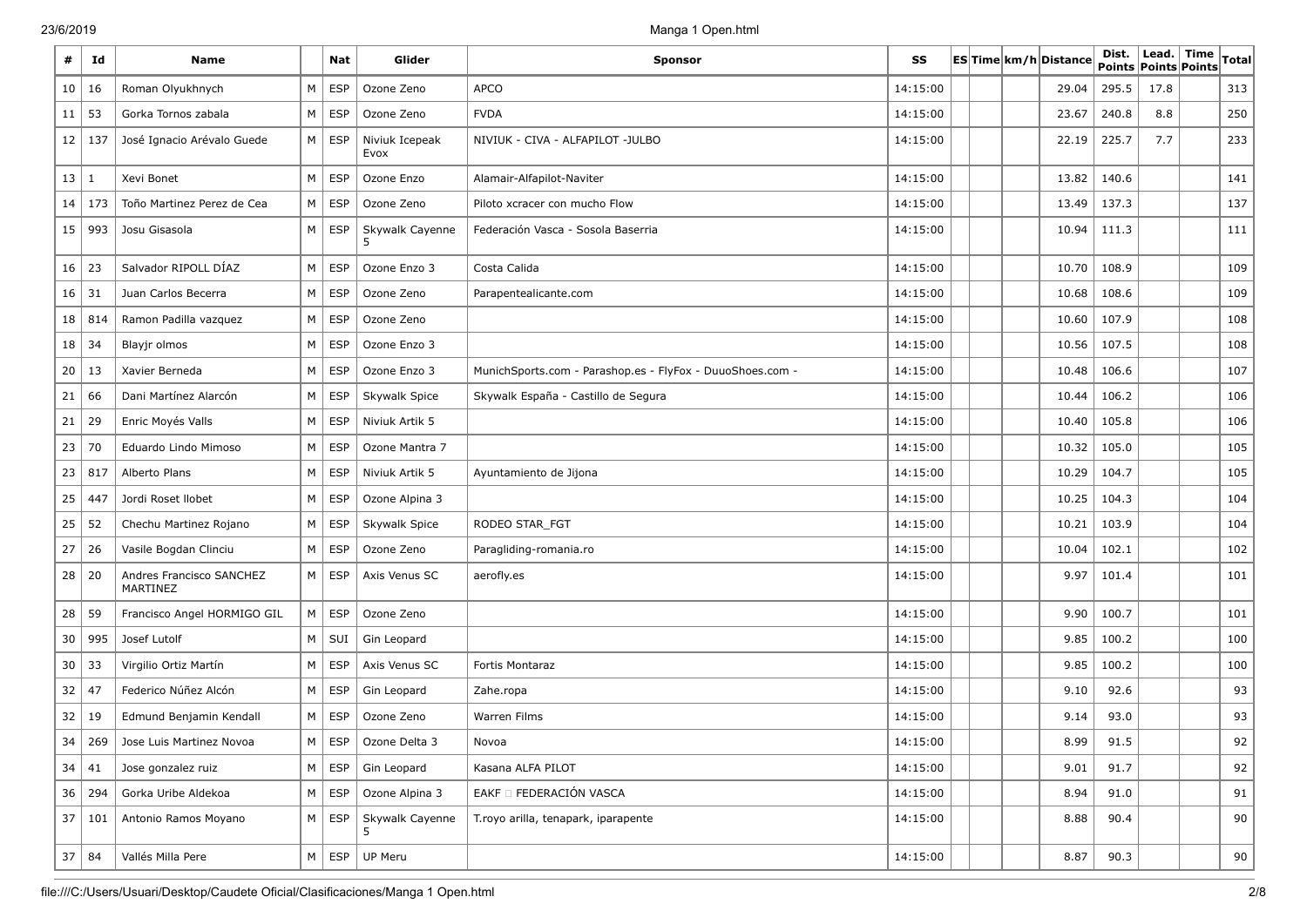| #            | Id           | <b>Name</b>                                 |          | Nat           | Glider                              | <b>Sponsor</b>                                            | SS       |  | ES Time km/h Distance | Dist.<br>Points Points Points | Lead. Time | <b>Total</b> |
|--------------|--------------|---------------------------------------------|----------|---------------|-------------------------------------|-----------------------------------------------------------|----------|--|-----------------------|-------------------------------|------------|--------------|
| 10           | 16           | Roman Olyukhnych                            | M        | <b>ESP</b>    | Ozone Zeno                          | <b>APCO</b>                                               | 14:15:00 |  | 29.04                 | 295.5                         | 17.8       | 313          |
| 11           | 53           | Gorka Tornos zabala                         | M        | <b>ESP</b>    | Ozone Zeno                          | <b>FVDA</b>                                               | 14:15:00 |  | 23.67                 | 240.8                         | 8.8        | 250          |
| 12           | 137          | José Ignacio Arévalo Guede                  | $M \mid$ | <b>ESP</b>    | Niviuk Icepeak<br>Evox              | NIVIUK - CIVA - ALFAPILOT -JULBO                          | 14:15:00 |  | 22.19                 | 225.7                         | 7.7        | 233          |
| 13           | 1            | Xevi Bonet                                  | M        | <b>ESP</b>    | Ozone Enzo                          | Alamair-Alfapilot-Naviter                                 | 14:15:00 |  | 13.82                 | 140.6                         |            | 141          |
| 14           | 173          | Toño Martinez Perez de Cea                  | M        | <b>ESP</b>    | Ozone Zeno                          | Piloto xcracer con mucho Flow                             | 14:15:00 |  | 13.49                 | 137.3                         |            | 137          |
| 15           | 993          | Josu Gisasola                               | M        | ESP           | Skywalk Cayenne<br>5                | Federación Vasca - Sosola Baserria                        | 14:15:00 |  | 10.94                 | 111.3                         |            | 111          |
| 16           | 23           | Salvador RIPOLL DÍAZ                        | M        | <b>ESP</b>    | Ozone Enzo 3                        | Costa Calida                                              | 14:15:00 |  | 10.70                 | 108.9                         |            | 109          |
| $16 \mid 31$ |              | Juan Carlos Becerra                         | M        | <b>ESP</b>    | Ozone Zeno                          | Parapentealicante.com                                     | 14:15:00 |  | 10.68                 | 108.6                         |            | 109          |
| 18           | 814          | Ramon Padilla vazquez                       | M        | <b>ESP</b>    | Ozone Zeno                          |                                                           | 14:15:00 |  | 10.60                 | 107.9                         |            | 108          |
| 18           | 34           | Blayjr olmos                                | M        | <b>ESP</b>    | Ozone Enzo 3                        |                                                           | 14:15:00 |  | 10.56                 | 107.5                         |            | 108          |
| 20           | 13           | Xavier Berneda                              | M        | <b>ESP</b>    | Ozone Enzo 3                        | MunichSports.com - Parashop.es - FlyFox - DuuoShoes.com - | 14:15:00 |  | 10.48                 | 106.6                         |            | 107          |
| 21           | 66           | Dani Martínez Alarcón                       | M        | <b>ESP</b>    | Skywalk Spice                       | Skywalk España - Castillo de Segura                       | 14:15:00 |  | 10.44                 | 106.2                         |            | 106          |
| 21           | 29           | Enric Moyés Valls                           | M        | <b>ESP</b>    | Niviuk Artik 5                      |                                                           | 14:15:00 |  | 10.40                 | 105.8                         |            | 106          |
| 23           | 70           | Eduardo Lindo Mimoso                        | $M \mid$ | <b>ESP</b>    | Ozone Mantra 7                      |                                                           | 14:15:00 |  | 10.32                 | 105.0                         |            | 105          |
| 23           | 817          | Alberto Plans                               | M        | <b>ESP</b>    | Niviuk Artik 5                      | Ayuntamiento de Jijona                                    | 14:15:00 |  | 10.29                 | 104.7                         |            | 105          |
| 25           | 447          | Jordi Roset Ilobet                          | M        | <b>ESP</b>    | Ozone Alpina 3                      |                                                           | 14:15:00 |  | 10.25                 | 104.3                         |            | 104          |
| 25           | 52           | Chechu Martinez Rojano                      | M        | <b>ESP</b>    | Skywalk Spice                       | RODEO STAR_FGT                                            | 14:15:00 |  | 10.21                 | 103.9                         |            | 104          |
| 27           | 26           | Vasile Bogdan Clinciu                       | $M \mid$ | ESP           | Ozone Zeno                          | Paragliding-romania.ro                                    | 14:15:00 |  | 10.04                 | 102.1                         |            | 102          |
| 28           | 20           | Andres Francisco SANCHEZ<br><b>MARTINEZ</b> | $M \mid$ | <b>ESP</b>    | Axis Venus SC                       | aerofly.es                                                | 14:15:00 |  | 9.97                  | 101.4                         |            | 101          |
| 28           | 59           | Francisco Angel HORMIGO GIL                 | M        | <b>ESP</b>    | Ozone Zeno                          |                                                           | 14:15:00 |  | 9.90                  | 100.7                         |            | 101          |
| 30           | 995          | Josef Lutolf                                | M        | SUI           | Gin Leopard                         |                                                           | 14:15:00 |  | 9.85                  | 100.2                         |            | 100          |
| 30           | 33           | Virgilio Ortiz Martín                       | M        | <b>ESP</b>    | Axis Venus SC                       | Fortis Montaraz                                           | 14:15:00 |  | 9.85                  | 100.2                         |            | 100          |
| 32           | 47           | Federico Núñez Alcón                        | M        | ESP           | Gin Leopard                         | Zahe.ropa                                                 | 14:15:00 |  | 9.10                  | 92.6                          |            | 93           |
| 32           | 19           | Edmund Benjamin Kendall                     | M        | <b>ESP</b>    | Ozone Zeno                          | Warren Films                                              | 14:15:00 |  | 9.14                  | 93.0                          |            | 93           |
|              |              | 34   269   Jose Luis Martinez Novoa         |          |               | $M \vert$ ESP $\vert$ Ozone Delta 3 | Novoa                                                     | 14:15:00 |  | 8.99                  | 91.5                          |            | 92           |
|              | $34 \mid 41$ | Jose gonzalez ruiz                          |          |               | M   ESP   Gin Leopard               | Kasana ALFA PILOT                                         | 14:15:00 |  | 9.01                  | 91.7                          |            | 92           |
|              | 36   294     | Gorka Uribe Aldekoa                         |          | $M \vert ESP$ | Ozone Alpina 3                      | EAKF O FEDERACIÓN VASCA                                   | 14:15:00 |  | 8.94                  | 91.0                          |            | 91           |
| 37           | 101          | Antonio Ramos Moyano                        |          | $M \vert ESP$ | Skywalk Cayenne                     | T.royo arilla, tenapark, iparapente                       | 14:15:00 |  | 8.88                  | 90.4                          |            | 90           |
|              | $37 \mid 84$ | Vallés Milla Pere                           |          |               | M   ESP   UP Meru                   |                                                           | 14:15:00 |  | 8.87                  | 90.3                          |            | 90           |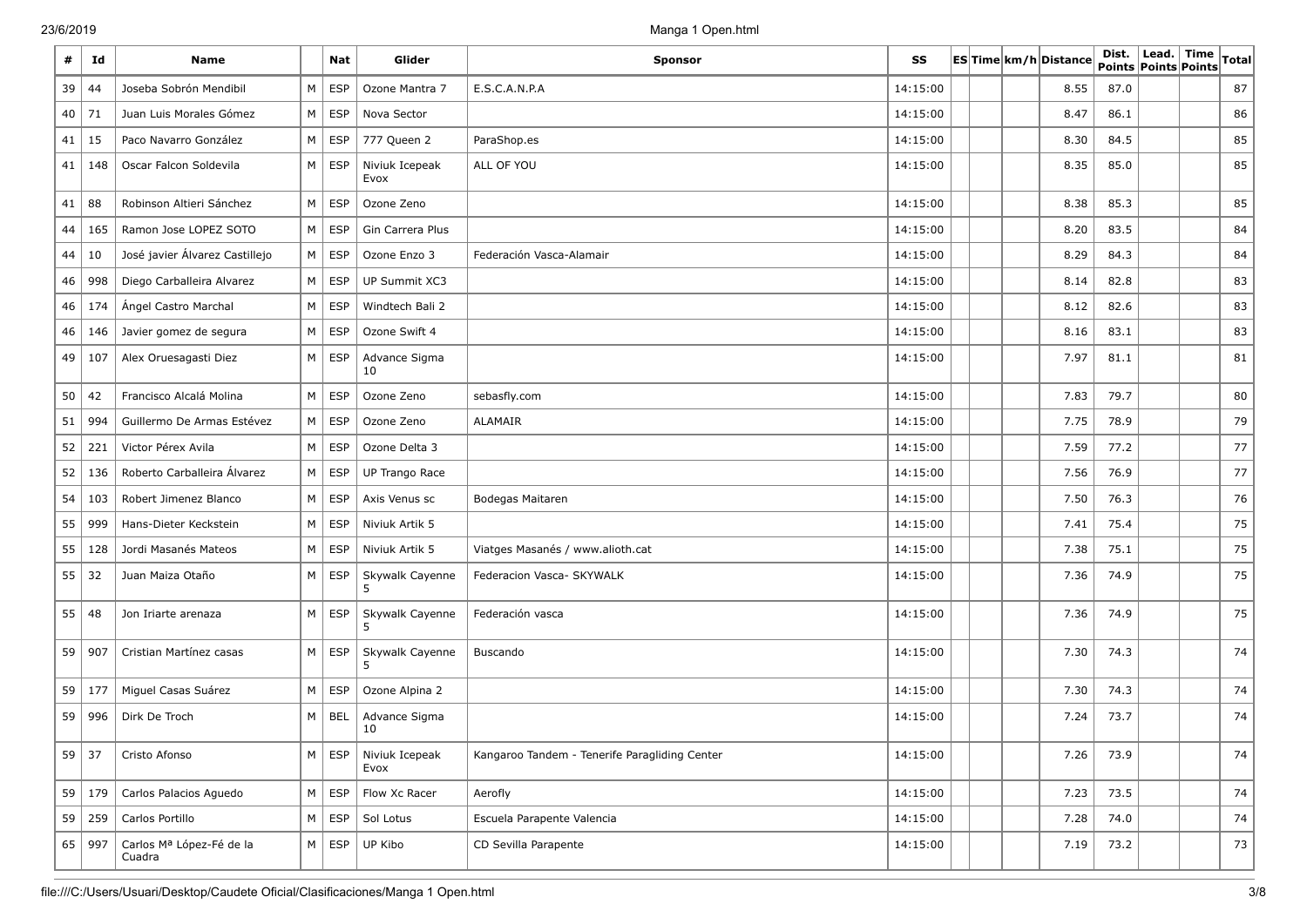| #  | Id       | <b>Name</b>                        |          | <b>Nat</b> | Glider                 | <b>Sponsor</b>                                | SS       |  | ESTime km/h Distance | Dist.<br>Points Points Points | $ $ Lead. $ $ | <b>Time</b> | Total |
|----|----------|------------------------------------|----------|------------|------------------------|-----------------------------------------------|----------|--|----------------------|-------------------------------|---------------|-------------|-------|
| 39 | 44       | Joseba Sobrón Mendibil             | М        | <b>ESP</b> | Ozone Mantra 7         | E.S.C.A.N.P.A                                 | 14:15:00 |  | 8.55                 | 87.0                          |               |             | 87    |
| 40 | 71       | Juan Luis Morales Gómez            | M        | <b>ESP</b> | Nova Sector            |                                               | 14:15:00 |  | 8.47                 | 86.1                          |               |             | 86    |
| 41 | 15       | Paco Navarro González              | М        | <b>ESP</b> | 777 Queen 2            | ParaShop.es                                   | 14:15:00 |  | 8.30                 | 84.5                          |               |             | 85    |
| 41 | 148      | Oscar Falcon Soldevila             | M        | <b>ESP</b> | Niviuk Icepeak<br>Evox | ALL OF YOU                                    | 14:15:00 |  | 8.35                 | 85.0                          |               |             | 85    |
| 41 | 88       | Robinson Altieri Sánchez           | M        | <b>ESP</b> | Ozone Zeno             |                                               | 14:15:00 |  | 8.38                 | 85.3                          |               |             | 85    |
| 44 | 165      | Ramon Jose LOPEZ SOTO              | M        | <b>ESP</b> | Gin Carrera Plus       |                                               | 14:15:00 |  | 8.20                 | 83.5                          |               |             | 84    |
| 44 | 10       | José javier Álvarez Castillejo     | M        | <b>ESP</b> | Ozone Enzo 3           | Federación Vasca-Alamair                      | 14:15:00 |  | 8.29                 | 84.3                          |               |             | 84    |
| 46 | 998      | Diego Carballeira Alvarez          | M        | <b>ESP</b> | UP Summit XC3          |                                               | 14:15:00 |  | 8.14                 | 82.8                          |               |             | 83    |
| 46 | 174      | Ángel Castro Marchal               | M        | <b>ESP</b> | Windtech Bali 2        |                                               | 14:15:00 |  | 8.12                 | 82.6                          |               |             | 83    |
| 46 | 146      | Javier gomez de segura             | M        | <b>ESP</b> | Ozone Swift 4          |                                               | 14:15:00 |  | 8.16                 | 83.1                          |               |             | 83    |
| 49 | 107      | Alex Oruesagasti Diez              | M        | ESP        | Advance Sigma<br>10    |                                               | 14:15:00 |  | 7.97                 | 81.1                          |               |             | 81    |
| 50 | 42       | Francisco Alcalá Molina            | M        | <b>ESP</b> | Ozone Zeno             | sebasfly.com                                  | 14:15:00 |  | 7.83                 | 79.7                          |               |             | 80    |
| 51 | 994      | Guillermo De Armas Estévez         | M        | <b>ESP</b> | Ozone Zeno             | ALAMAIR                                       | 14:15:00 |  | 7.75                 | 78.9                          |               |             | 79    |
| 52 | 221      | Victor Pérex Avila                 | М        | <b>ESP</b> | Ozone Delta 3          |                                               | 14:15:00 |  | 7.59                 | 77.2                          |               |             | 77    |
| 52 | 136      | Roberto Carballeira Álvarez        | M        | <b>ESP</b> | UP Trango Race         |                                               | 14:15:00 |  | 7.56                 | 76.9                          |               |             | 77    |
| 54 | 103      | Robert Jimenez Blanco              | M        | <b>ESP</b> | Axis Venus sc          | Bodegas Maitaren                              | 14:15:00 |  | 7.50                 | 76.3                          |               |             | 76    |
| 55 | 999      | Hans-Dieter Keckstein              | М        | <b>ESP</b> | Niviuk Artik 5         |                                               | 14:15:00 |  | 7.41                 | 75.4                          |               |             | 75    |
| 55 | 128      | Jordi Masanés Mateos               | М        | <b>ESP</b> | Niviuk Artik 5         | Viatges Masanés / www.alioth.cat              | 14:15:00 |  | 7.38                 | 75.1                          |               |             | 75    |
| 55 | 32       | Juan Maiza Otaño                   | М        | <b>ESP</b> | Skywalk Cayenne<br>5   | Federacion Vasca- SKYWALK                     | 14:15:00 |  | 7.36                 | 74.9                          |               |             | 75    |
| 55 | 48       | Jon Iriarte arenaza                | M        | <b>ESP</b> | Skywalk Cayenne        | Federación vasca                              | 14:15:00 |  | 7.36                 | 74.9                          |               |             | 75    |
| 59 | 907      | Cristian Martínez casas            | M        | ESP        | Skywalk Cayenne<br>5.  | Buscando                                      | 14:15:00 |  | 7.30                 | 74.3                          |               |             | 74    |
| 59 | 177      | Miguel Casas Suárez                | M        | ESP        | Ozone Alpina 2         |                                               | 14:15:00 |  | 7.30                 | 74.3                          |               |             | 74    |
| 59 | 996      | Dirk De Troch                      | M        | <b>BEL</b> | Advance Sigma<br>10    |                                               | 14:15:00 |  | 7.24                 | 73.7                          |               |             | 74    |
|    | $59$ 37  | Cristo Afonso                      | $M \mid$ | ESP        | Niviuk Icepeak<br>Evox | Kangaroo Tandem - Tenerife Paragliding Center | 14:15:00 |  | 7.26                 | 73.9                          |               |             | 74    |
| 59 | 179      | Carlos Palacios Aguedo             | M        | ESP        | Flow Xc Racer          | Aerofly                                       | 14:15:00 |  | 7.23                 | 73.5                          |               |             | 74    |
|    | 59   259 | Carlos Portillo                    | M        | <b>ESP</b> | Sol Lotus              | Escuela Parapente Valencia                    | 14:15:00 |  | 7.28                 | 74.0                          |               |             | 74    |
|    | 65 997   | Carlos Mª López-Fé de la<br>Cuadra | M        | ESP        | UP Kibo                | CD Sevilla Parapente                          | 14:15:00 |  | 7.19                 | 73.2                          |               |             | 73    |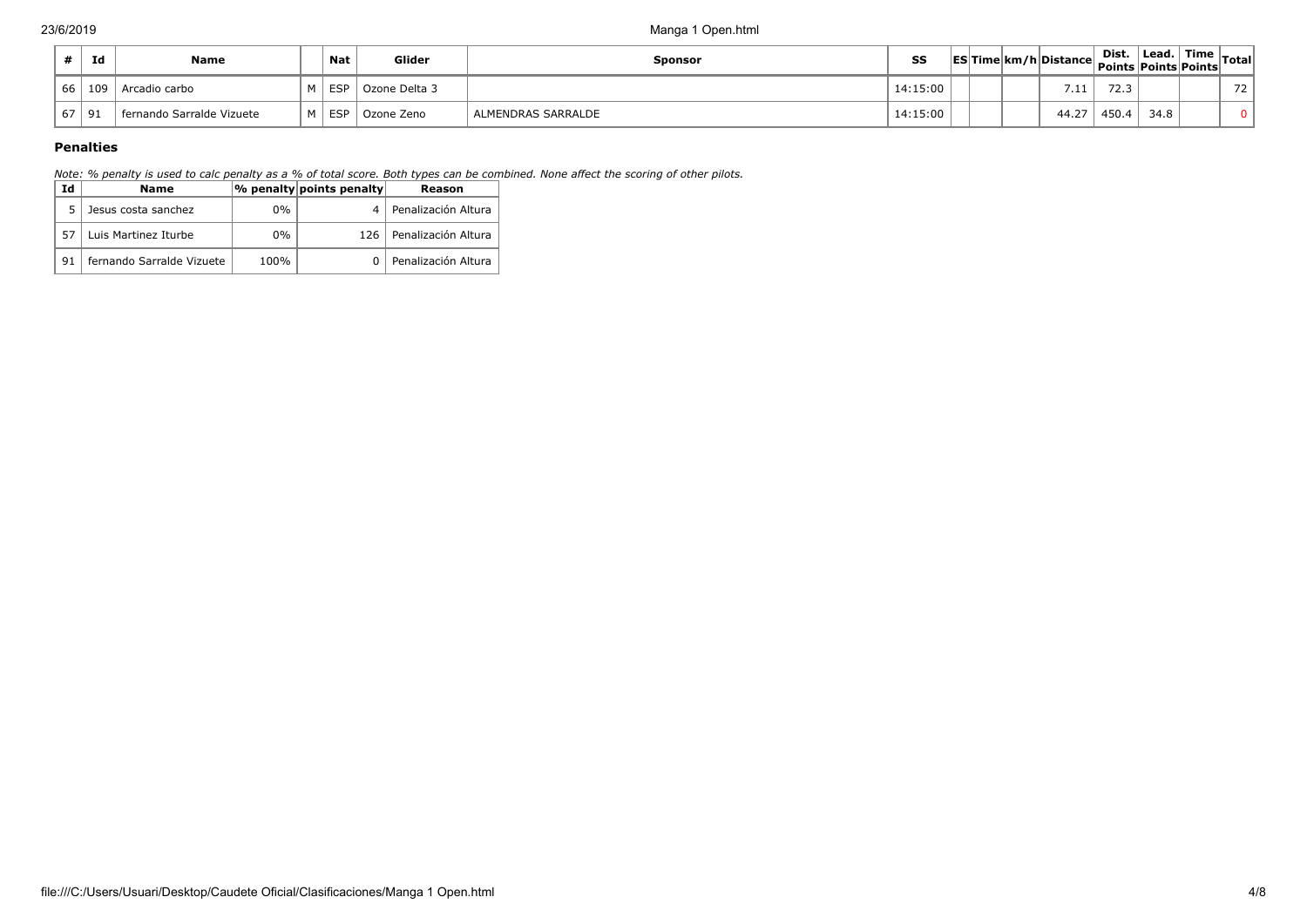|           | Id  | Name                      |           | <b>Nat</b> | Glider        | Sponsor            | ss   ES Time km/h Distance  = ----<br>  Points Points  Points  Points  Points |  |          | Dist. | ∣ Lead. | $\frac{1}{2}$ Time $\frac{1}{2}$ Total. |    |
|-----------|-----|---------------------------|-----------|------------|---------------|--------------------|-------------------------------------------------------------------------------|--|----------|-------|---------|-----------------------------------------|----|
| 66 I      | 109 | Arcadio carbo             | <b>NA</b> | FSP        | Ozone Delta 3 |                    | 14:15:00                                                                      |  | 711<br>. | 72.3  |         |                                         | 72 |
| $67$   91 |     | fernando Sarralde Vizuete | м І       | ESP        | Ozone Zeno    | ALMENDRAS SARRALDE | 14:15:00                                                                      |  | 44.27    | 450.4 | 34.8    |                                         |    |

# **Penalties**

*Note: % penalty is used to calc penalty as a % of total score. Both types can be combined. None affect the scoring of other pilots.*

| Id | Name                      |       | $ \%$ penalty points penalty | Reason                  |
|----|---------------------------|-------|------------------------------|-------------------------|
|    | Jesus costa sanchez       | $0\%$ |                              | · l Penalización Altura |
| 57 | Luis Martinez Iturbe      | $0\%$ | 126 I                        | Penalización Altura     |
| 91 | fernando Sarralde Vizuete | 100%  |                              | Penalización Altura     |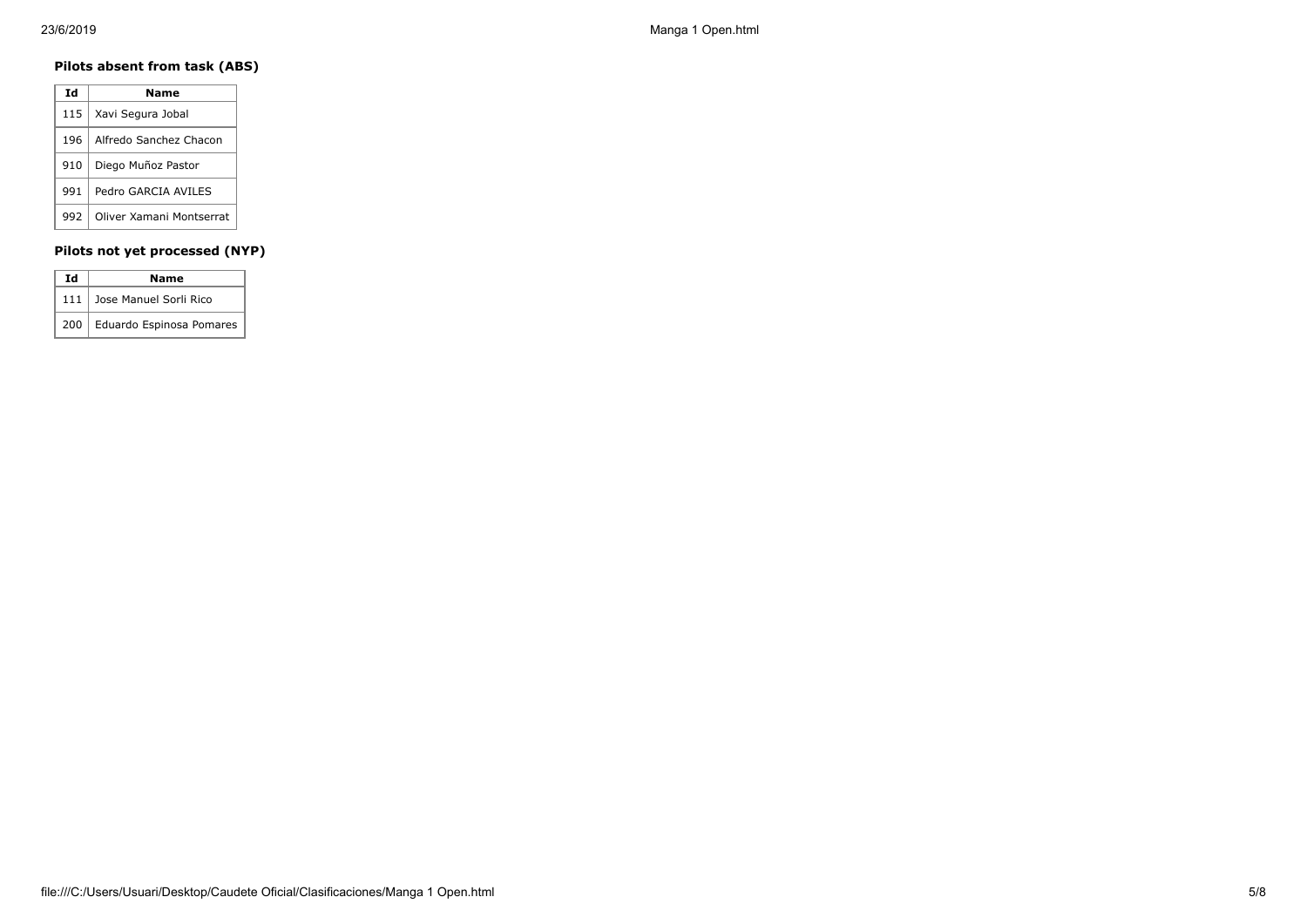# **Pilots absent from task (ABS)**

| Ιd  | Name                     |
|-----|--------------------------|
| 115 | Xavi Segura Jobal        |
| 196 | Alfredo Sanchez Chacon   |
| 910 | Diego Muñoz Pastor       |
| 991 | Pedro GARCIA AVILES      |
| 992 | Oliver Xamani Montserrat |

# **Pilots not yet processed (NYP)**

| Ιd<br>Name |                                |  |  |  |  |  |
|------------|--------------------------------|--|--|--|--|--|
|            | 111 Jose Manuel Sorli Rico     |  |  |  |  |  |
|            | 200   Eduardo Espinosa Pomares |  |  |  |  |  |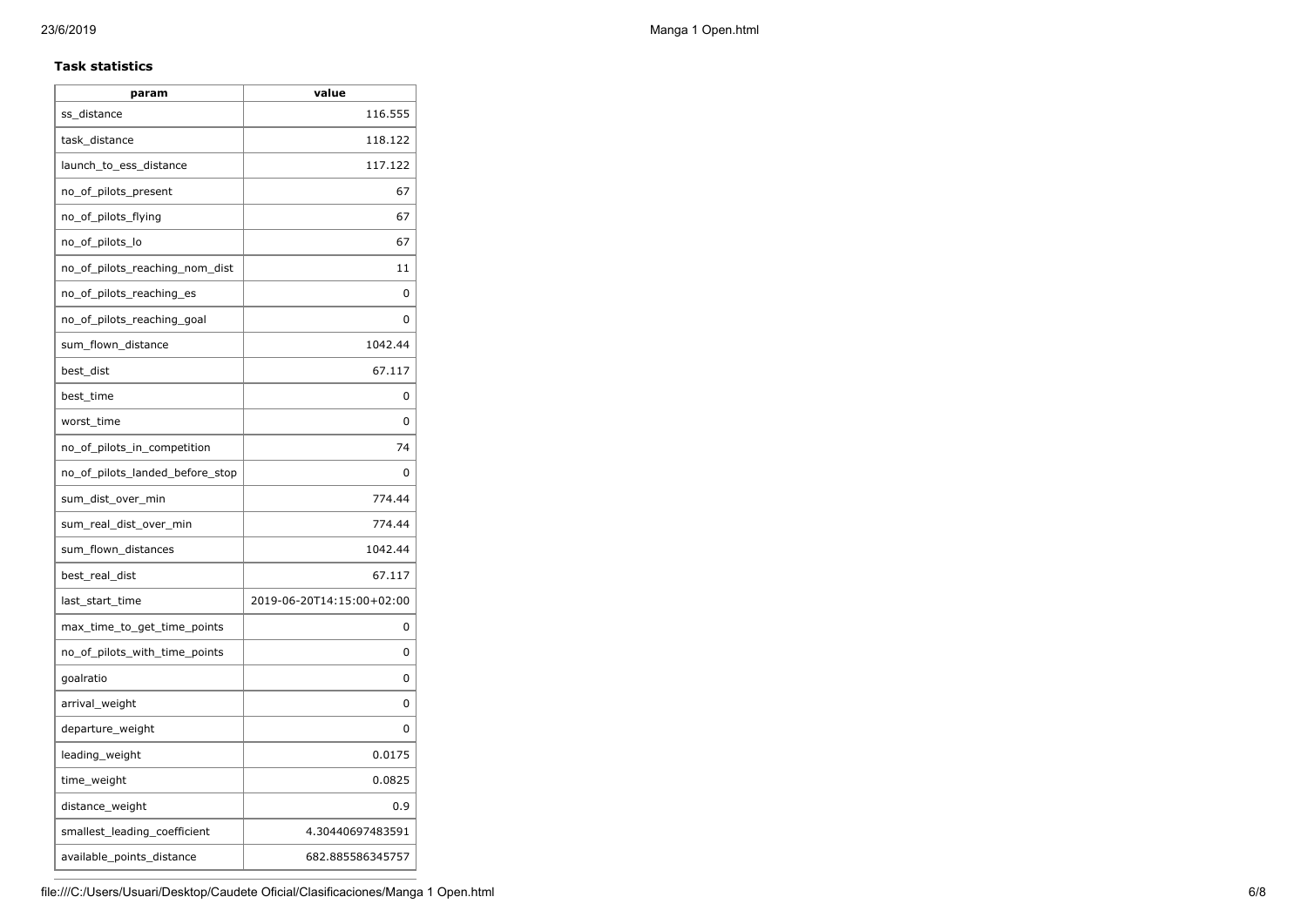### **Task statistics**

| value                     |
|---------------------------|
| 116.555                   |
| 118.122                   |
| 117.122                   |
| 67                        |
| 67                        |
| 67                        |
| 11                        |
| 0                         |
| 0                         |
| 1042.44                   |
| 67.117                    |
| 0                         |
| 0                         |
| 74                        |
| 0                         |
| 774.44                    |
| 774.44                    |
| 1042.44                   |
| 67.117                    |
| 2019-06-20T14:15:00+02:00 |
| 0                         |
| 0                         |
| 0                         |
| 0                         |
| 0                         |
| 0.0175                    |
| 0.0825                    |
| 0.9                       |
| 4.30440697483591          |
| 682.885586345757          |
|                           |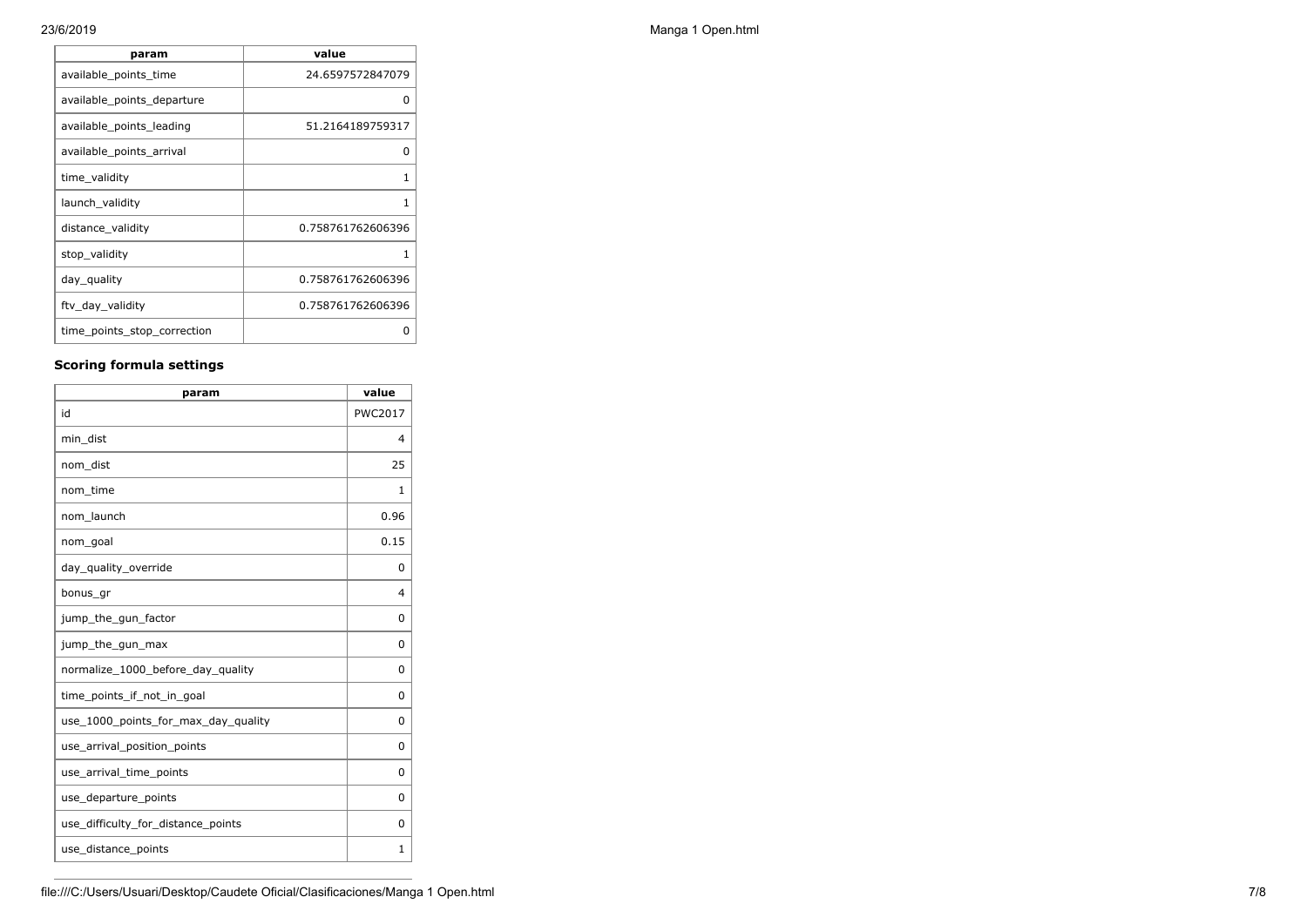| param                       | value             |
|-----------------------------|-------------------|
| available_points_time       | 24.6597572847079  |
| available_points_departure  | n                 |
| available_points_leading    | 51.2164189759317  |
| available_points_arrival    | O                 |
| time validity               | 1                 |
| launch validity             |                   |
| distance_validity           | 0.758761762606396 |
| stop_validity               |                   |
| day_quality                 | 0.758761762606396 |
| ftv_day_validity            | 0.758761762606396 |
| time_points_stop_correction | O                 |

# **Scoring formula settings**

| param                               | value          |
|-------------------------------------|----------------|
| id                                  | <b>PWC2017</b> |
| min_dist                            | $\overline{4}$ |
| nom_dist                            | 25             |
| nom_time                            | 1              |
| nom_launch                          | 0.96           |
| nom_goal                            | 0.15           |
| day_quality_override                | $\Omega$       |
| bonus_gr                            | 4              |
| jump_the_gun_factor                 | 0              |
| jump_the_gun_max                    | 0              |
| normalize_1000_before_day_quality   | 0              |
| time points if not in goal          | 0              |
| use_1000_points_for_max_day_quality | 0              |
| use_arrival_position_points         | 0              |
| use_arrival_time_points             | $\Omega$       |
| use_departure_points                | $\Omega$       |
| use_difficulty_for_distance_points  | 0              |
| use_distance_points                 | 1              |